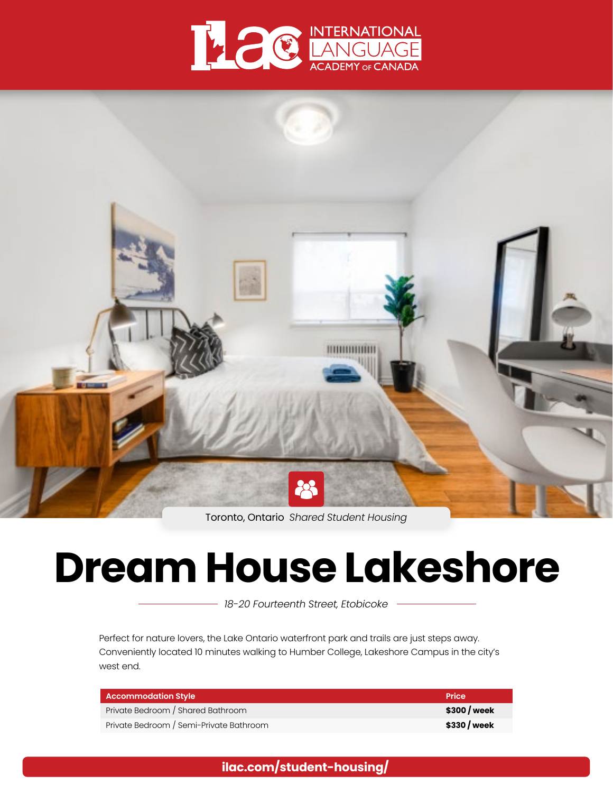



Toronto, Ontario *Shared Student Housing*

# **Dream House Lakeshore**

*18-20 Fourteenth Street, Etobicoke*

Perfect for nature lovers, the Lake Ontario waterfront park and trails are just steps away. Conveniently located 10 minutes walking to Humber College, Lakeshore Campus in the city's west end.

| Accommodation Style                     | Price        |
|-----------------------------------------|--------------|
| Private Bedroom / Shared Bathroom       | \$300 / week |
| Private Bedroom / Semi-Private Bathroom | \$330 / week |

**[ilac.com/student-housing/](https://www.ilac.com/student-housing/)**